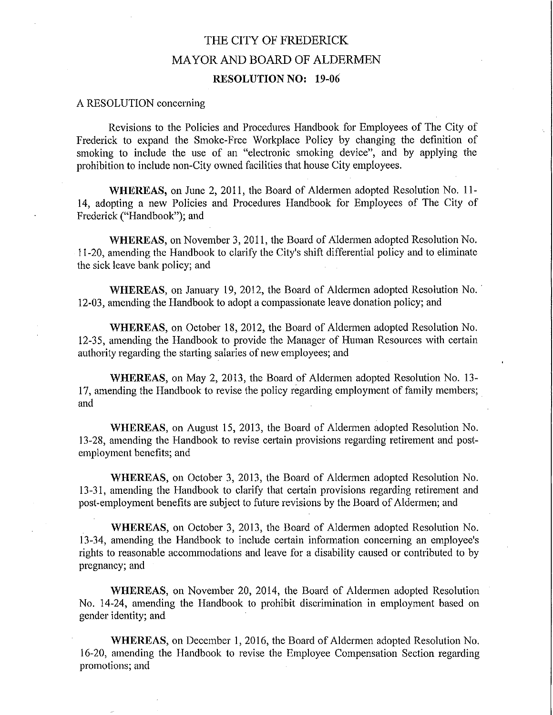## THE CITY OF FREDERICK **MAYOR AND BOARD OF ALDERMEN RESOLUTION NO: 19-06**

## A RESOLUTION concerning

Revisions to the Policies and Procedures Handbook for Employees of The City of Frederick to expand the Smoke-Free Workplace Policy by changing the definition of smoking to include the use of an "electronic smoking device", and by applying the prohibition to include non-City owned facilities that house City employees.

WHEREAS, on June 2, 2011, the Board of Aldermen adopted Resolution No. 11-14, adopting a new Policies and Procedures Handbook for Employees of The City of Frederick ("Handbook"); and

WHEREAS, on November 3, 2011, the Board of Aldermen adopted Resolution No. 11-20, amending the Handbook to clarify the City's shift differential policy and to eliminate the sick leave bank policy; and

WHEREAS, on January 19, 2012, the Board of Aldermen adopted Resolution No. 12-03, amending the Handbook to adopt a compassionate leave donation policy; and

WHEREAS, on October 18, 2012, the Board of Aldermen adopted Resolution No. 12-35, amending the Handbook to provide the Manager of Human Resources with certain authority regarding the starting salaries of new employees; and

WHEREAS, on May 2, 2013, the Board of Aldermen adopted Resolution No. 13-17, amending the Handbook to revise the policy regarding employment of family members; and

WHEREAS, on August 15, 2013, the Board of Aldermen adopted Resolution No. 13-28, amending the Handbook to revise certain provisions regarding retirement and postemployment benefits; and

WHEREAS, on October 3, 2013, the Board of Aldermen adopted Resolution No. 13-31, amending the Handbook to clarify that certain provisions regarding retirement and post-employment benefits are subject to future revisions by the Board of Aldermen; and

WHEREAS, on October 3, 2013, the Board of Aldermen adopted Resolution No. 13-34, amending the Handbook to include certain information concerning an employee's rights to reasonable accommodations and leave for a disability caused or contributed to by pregnancy; and

WHEREAS, on November 20, 2014, the Board of Aldermen adopted Resolution No. 14-24, amending the Handbook to prohibit discrimination in employment based on gender identity; and

WHEREAS, on December 1, 2016, the Board of Aldermen adopted Resolution No. 16-20, amending the Handbook to revise the Employee Compensation Section regarding promotions; and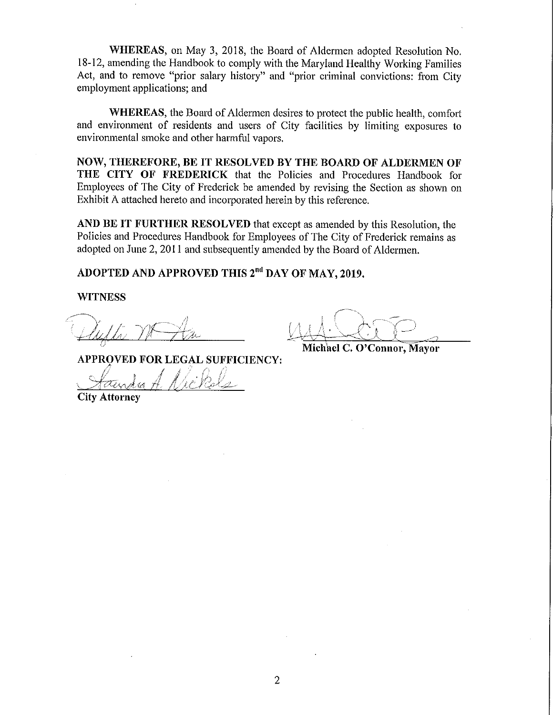WHEREAS, on May 3, 2018, the Board of Aldermen adopted Resolution No. 18-12, amending the Handbook to comply with the Maryland Healthy Working Families Act, and to remove "prior salary history" and "prior criminal convictions: from City employment applications; and

WHEREAS, the Board of Aldermen desires to protect the public health, comfort and environment of residents and users of City facilities by limiting exposures to environmental smoke and other harmful vapors.

NOW, THEREFORE, BE IT RESOLVED BY THE BOARD OF ALDERMEN OF THE CITY OF FREDERICK that the Policies and Procedures Handbook for Employees of The City of Frederick be amended by revising the Section as shown on Exhibit A attached hereto and incorporated herein by this reference.

AND BE IT FURTHER RESOLVED that except as amended by this Resolution, the Policies and Procedures Handbook for Employees of The City of Frederick remains as adopted on June 2, 2011 and subsequently amended by the Board of Aldermen.

ADOPTED AND APPROVED THIS 2<sup>nd</sup> DAY OF MAY, 2019.

**WITNESS** 

**APPROVED FOR LEGAL SUFFICIENCY:** 

**City Attorney** 

Michael C. O'Connor, Mayor